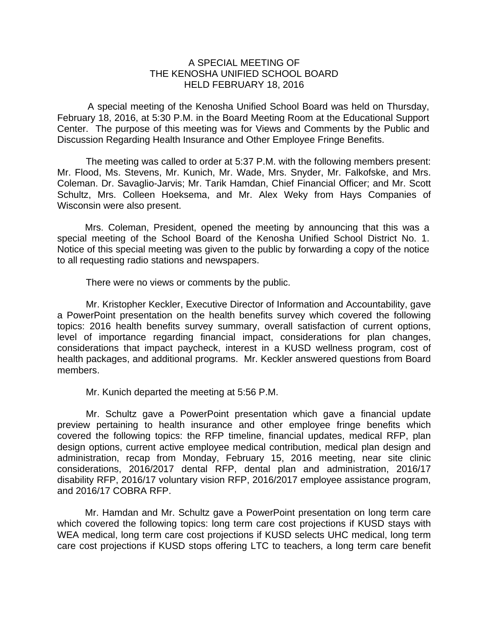## A SPECIAL MEETING OF THE KENOSHA UNIFIED SCHOOL BOARD HELD FEBRUARY 18, 2016

 A special meeting of the Kenosha Unified School Board was held on Thursday, February 18, 2016, at 5:30 P.M. in the Board Meeting Room at the Educational Support Center. The purpose of this meeting was for Views and Comments by the Public and Discussion Regarding Health Insurance and Other Employee Fringe Benefits.

The meeting was called to order at 5:37 P.M. with the following members present: Mr. Flood, Ms. Stevens, Mr. Kunich, Mr. Wade, Mrs. Snyder, Mr. Falkofske, and Mrs. Coleman. Dr. Savaglio-Jarvis; Mr. Tarik Hamdan, Chief Financial Officer; and Mr. Scott Schultz, Mrs. Colleen Hoeksema, and Mr. Alex Weky from Hays Companies of Wisconsin were also present.

Mrs. Coleman, President, opened the meeting by announcing that this was a special meeting of the School Board of the Kenosha Unified School District No. 1. Notice of this special meeting was given to the public by forwarding a copy of the notice to all requesting radio stations and newspapers.

There were no views or comments by the public.

 Mr. Kristopher Keckler, Executive Director of Information and Accountability, gave a PowerPoint presentation on the health benefits survey which covered the following topics: 2016 health benefits survey summary, overall satisfaction of current options, level of importance regarding financial impact, considerations for plan changes, considerations that impact paycheck, interest in a KUSD wellness program, cost of health packages, and additional programs. Mr. Keckler answered questions from Board members.

Mr. Kunich departed the meeting at 5:56 P.M.

 Mr. Schultz gave a PowerPoint presentation which gave a financial update preview pertaining to health insurance and other employee fringe benefits which covered the following topics: the RFP timeline, financial updates, medical RFP, plan design options, current active employee medical contribution, medical plan design and administration, recap from Monday, February 15, 2016 meeting, near site clinic considerations, 2016/2017 dental RFP, dental plan and administration, 2016/17 disability RFP, 2016/17 voluntary vision RFP, 2016/2017 employee assistance program, and 2016/17 COBRA RFP.

 Mr. Hamdan and Mr. Schultz gave a PowerPoint presentation on long term care which covered the following topics: long term care cost projections if KUSD stays with WEA medical, long term care cost projections if KUSD selects UHC medical, long term care cost projections if KUSD stops offering LTC to teachers, a long term care benefit